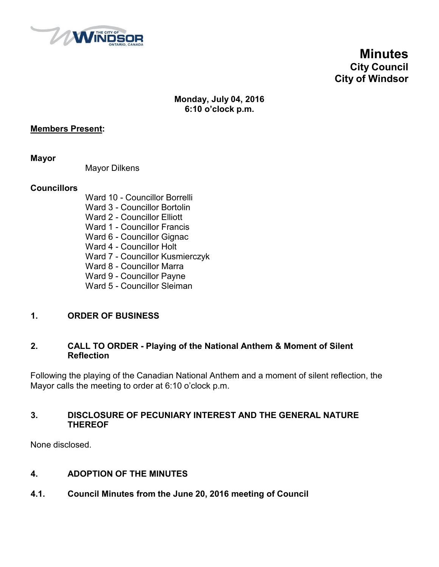

**Minutes City Council City of Windsor**

#### **Monday, July 04, 2016 6:10 o'clock p.m.**

#### **Members Present:**

**Mayor**

Mayor Dilkens

#### **Councillors**

- Ward 10 Councillor Borrelli
- Ward 3 Councillor Bortolin
- Ward 2 Councillor Elliott
- Ward 1 Councillor Francis
- Ward 6 Councillor Gignac
- Ward 4 Councillor Holt
- Ward 7 Councillor Kusmierczyk
- Ward 8 Councillor Marra
- Ward 9 Councillor Payne
- Ward 5 Councillor Sleiman

#### **1. ORDER OF BUSINESS**

#### **2. CALL TO ORDER - Playing of the National Anthem & Moment of Silent Reflection**

Following the playing of the Canadian National Anthem and a moment of silent reflection, the Mayor calls the meeting to order at 6:10 o'clock p.m.

#### **3. DISCLOSURE OF PECUNIARY INTEREST AND THE GENERAL NATURE THEREOF**

None disclosed.

#### **4. ADOPTION OF THE MINUTES**

**4.1. Council Minutes from the June 20, 2016 meeting of Council**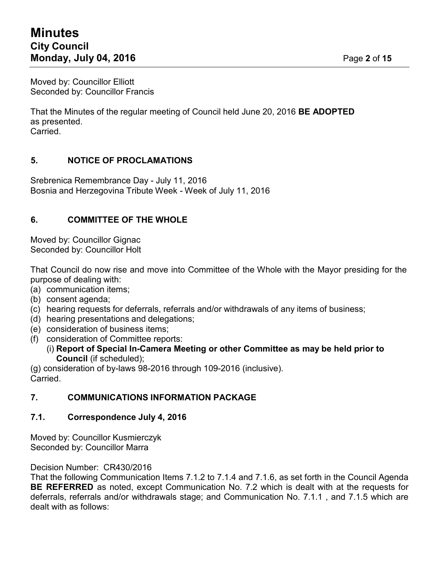# **Minutes City Council Monday, July 04, 2016 Page 2** of 15

Moved by: Councillor Elliott Seconded by: Councillor Francis

That the Minutes of the regular meeting of Council held June 20, 2016 **BE ADOPTED** as presented. Carried.

#### **5. NOTICE OF PROCLAMATIONS**

Srebrenica Remembrance Day - July 11, 2016 Bosnia and Herzegovina Tribute Week - Week of July 11, 2016

### **6. COMMITTEE OF THE WHOLE**

Moved by: Councillor Gignac Seconded by: Councillor Holt

That Council do now rise and move into Committee of the Whole with the Mayor presiding for the purpose of dealing with:

- (a) communication items;
- (b) consent agenda;
- (c) hearing requests for deferrals, referrals and/or withdrawals of any items of business;
- (d) hearing presentations and delegations;
- (e) consideration of business items;
- (f) consideration of Committee reports:
	- (i) **Report of Special In-Camera Meeting or other Committee as may be held prior to Council** (if scheduled);

(g) consideration of by-laws 98-2016 through 109-2016 (inclusive). **Carried** 

#### **7. COMMUNICATIONS INFORMATION PACKAGE**

#### **7.1. Correspondence July 4, 2016**

Moved by: Councillor Kusmierczyk Seconded by: Councillor Marra

Decision Number: CR430/2016

That the following Communication Items 7.1.2 to 7.1.4 and 7.1.6, as set forth in the Council Agenda **BE REFERRED** as noted, except Communication No. 7.2 which is dealt with at the requests for deferrals, referrals and/or withdrawals stage; and Communication No. 7.1.1 , and 7.1.5 which are dealt with as follows: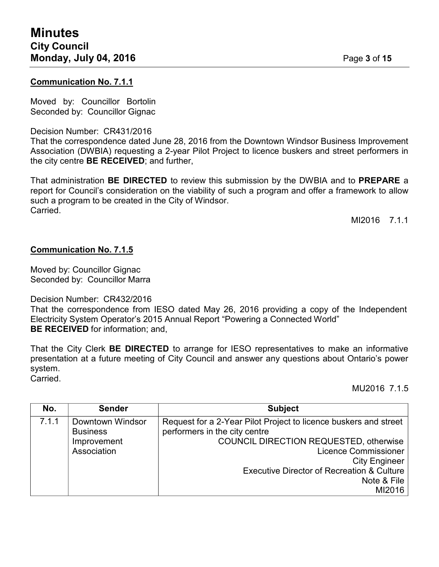#### **Communication No. 7.1.1**

Moved by: Councillor Bortolin Seconded by: Councillor Gignac

#### Decision Number: CR431/2016

That the correspondence dated June 28, 2016 from the Downtown Windsor Business Improvement Association (DWBIA) requesting a 2-year Pilot Project to licence buskers and street performers in the city centre **BE RECEIVED**; and further,

That administration **BE DIRECTED** to review this submission by the DWBIA and to **PREPARE** a report for Council's consideration on the viability of such a program and offer a framework to allow such a program to be created in the City of Windsor. **Carried** 

MI2016 7.1.1

#### **Communication No. 7.1.5**

Moved by: Councillor Gignac Seconded by: Councillor Marra

Decision Number: CR432/2016

That the correspondence from IESO dated May 26, 2016 providing a copy of the Independent Electricity System Operator's 2015 Annual Report "Powering a Connected World" **BE RECEIVED** for information; and,

That the City Clerk **BE DIRECTED** to arrange for IESO representatives to make an informative presentation at a future meeting of City Council and answer any questions about Ontario's power system.

Carried.

MU2016 7.1.5

| No.   | <b>Sender</b>                       | <b>Subject</b>                                                                                    |
|-------|-------------------------------------|---------------------------------------------------------------------------------------------------|
| 7.1.1 | Downtown Windsor<br><b>Business</b> | Request for a 2-Year Pilot Project to licence buskers and street<br>performers in the city centre |
|       | Improvement                         | COUNCIL DIRECTION REQUESTED, otherwise                                                            |
|       | Association                         | <b>Licence Commissioner</b>                                                                       |
|       |                                     | <b>City Engineer</b>                                                                              |
|       |                                     | <b>Executive Director of Recreation &amp; Culture</b>                                             |
|       |                                     | Note & File                                                                                       |
|       |                                     | MI2016                                                                                            |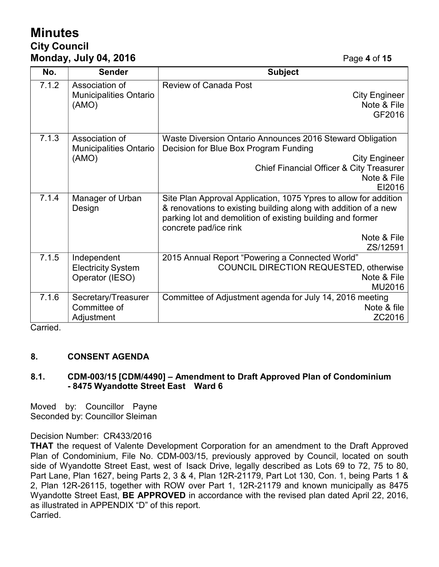# **Minutes City Council Monday, July 04, 2016 Page 4** of 15

| No.                     | <b>Sender</b>                          | <b>Subject</b>                                                                                                                |
|-------------------------|----------------------------------------|-------------------------------------------------------------------------------------------------------------------------------|
| 7.1.2                   | Association of                         | <b>Review of Canada Post</b>                                                                                                  |
|                         | <b>Municipalities Ontario</b><br>(AMO) | <b>City Engineer</b><br>Note & File                                                                                           |
|                         |                                        | GF2016                                                                                                                        |
|                         |                                        |                                                                                                                               |
| 7.1.3<br>Association of |                                        | Waste Diversion Ontario Announces 2016 Steward Obligation                                                                     |
|                         | <b>Municipalities Ontario</b>          | Decision for Blue Box Program Funding                                                                                         |
|                         | (AMO)                                  | <b>City Engineer</b>                                                                                                          |
|                         |                                        | <b>Chief Financial Officer &amp; City Treasurer</b>                                                                           |
|                         |                                        | Note & File                                                                                                                   |
|                         |                                        | EI2016                                                                                                                        |
| 7.1.4                   | Manager of Urban                       | Site Plan Approval Application, 1075 Ypres to allow for addition                                                              |
|                         | Design                                 | & renovations to existing building along with addition of a new<br>parking lot and demolition of existing building and former |
|                         |                                        | concrete pad/ice rink                                                                                                         |
|                         |                                        | Note & File                                                                                                                   |
|                         |                                        | ZS/12591                                                                                                                      |
| 7.1.5                   | Independent                            | 2015 Annual Report "Powering a Connected World"                                                                               |
|                         | <b>Electricity System</b>              | <b>COUNCIL DIRECTION REQUESTED, otherwise</b>                                                                                 |
|                         | Operator (IESO)                        | Note & File                                                                                                                   |
|                         |                                        | MU2016                                                                                                                        |
| 7.1.6                   | Secretary/Treasurer                    | Committee of Adjustment agenda for July 14, 2016 meeting                                                                      |
|                         | Committee of                           | Note & file                                                                                                                   |
|                         | Adjustment                             | ZC2016                                                                                                                        |

Carried.

#### **8. CONSENT AGENDA**

#### **8.1. CDM-003/15 [CDM/4490] – Amendment to Draft Approved Plan of Condominium - 8475 Wyandotte Street East Ward 6**

Moved by: Councillor Payne Seconded by: Councillor Sleiman

#### Decision Number: CR433/2016

**THAT** the request of Valente Development Corporation for an amendment to the Draft Approved Plan of Condominium, File No. CDM-003/15, previously approved by Council, located on south side of Wyandotte Street East, west of Isack Drive, legally described as Lots 69 to 72, 75 to 80, Part Lane, Plan 1627, being Parts 2, 3 & 4, Plan 12R-21179, Part Lot 130, Con. 1, being Parts 1 & 2, Plan 12R-26115, together with ROW over Part 1, 12R-21179 and known municipally as 8475 Wyandotte Street East, **BE APPROVED** in accordance with the revised plan dated April 22, 2016, as illustrated in APPENDIX "D" of this report. Carried.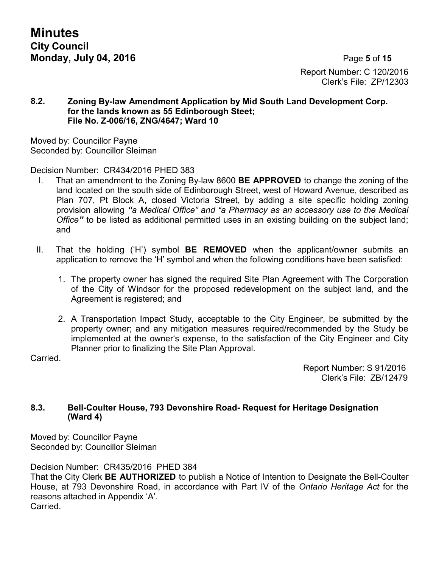# Report Number: C 120/2016 Clerk's File: ZP/12303

#### **8.2. Zoning By-law Amendment Application by Mid South Land Development Corp. for the lands known as 55 Edinborough Steet; File No. Z-006/16, ZNG/4647; Ward 10**

Moved by: Councillor Payne Seconded by: Councillor Sleiman

#### Decision Number: CR434/2016 PHED 383

- I. That an amendment to the Zoning By-law 8600 **BE APPROVED** to change the zoning of the land located on the south side of Edinborough Street, west of Howard Avenue, described as Plan 707, Pt Block A, closed Victoria Street, by adding a site specific holding zoning provision allowing *"a Medical Office" and "a Pharmacy as an accessory use to the Medical Office"* to be listed as additional permitted uses in an existing building on the subject land; and
- II. That the holding ('H') symbol **BE REMOVED** when the applicant/owner submits an application to remove the 'H' symbol and when the following conditions have been satisfied:
	- 1. The property owner has signed the required Site Plan Agreement with The Corporation of the City of Windsor for the proposed redevelopment on the subject land, and the Agreement is registered; and
	- 2. A Transportation Impact Study, acceptable to the City Engineer, be submitted by the property owner; and any mitigation measures required/recommended by the Study be implemented at the owner's expense, to the satisfaction of the City Engineer and City Planner prior to finalizing the Site Plan Approval.

Carried.

Report Number: S 91/2016 Clerk's File: ZB/12479

#### **8.3. Bell-Coulter House, 793 Devonshire Road- Request for Heritage Designation (Ward 4)**

Moved by: Councillor Payne Seconded by: Councillor Sleiman

Decision Number: CR435/2016 PHED 384

That the City Clerk **BE AUTHORIZED** to publish a Notice of Intention to Designate the Bell-Coulter House, at 793 Devonshire Road, in accordance with Part IV of the *Ontario Heritage Act* for the reasons attached in Appendix 'A'. Carried.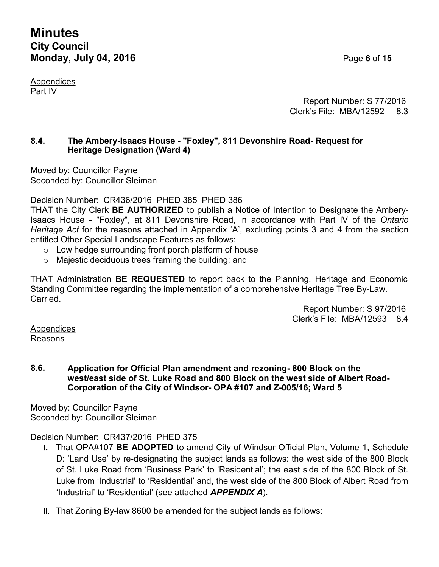# **Minutes City Council Monday, July 04, 2016 Page 6** of 15

Appendices Part IV

Report Number: S 77/2016 Clerk's File: MBA/12592 8.3

#### **8.4. The Ambery-Isaacs House - "Foxley", 811 Devonshire Road- Request for Heritage Designation (Ward 4)**

Moved by: Councillor Payne Seconded by: Councillor Sleiman

Decision Number: CR436/2016 PHED 385 PHED 386

THAT the City Clerk **BE AUTHORIZED** to publish a Notice of Intention to Designate the Ambery-Isaacs House - "Foxley", at 811 Devonshire Road, in accordance with Part IV of the *Ontario Heritage Act* for the reasons attached in Appendix 'A', excluding points 3 and 4 from the section entitled Other Special Landscape Features as follows:

- $\circ$  Low hedge surrounding front porch platform of house
- o Majestic deciduous trees framing the building; and

THAT Administration **BE REQUESTED** to report back to the Planning, Heritage and Economic Standing Committee regarding the implementation of a comprehensive Heritage Tree By-Law. **Carried** 

> Report Number: S 97/2016 Clerk's File: MBA/12593 8.4

Appendices Reasons

#### **8.6. Application for Official Plan amendment and rezoning- 800 Block on the west/east side of St. Luke Road and 800 Block on the west side of Albert Road-Corporation of the City of Windsor- OPA #107 and Z-005/16; Ward 5**

Moved by: Councillor Payne Seconded by: Councillor Sleiman

#### Decision Number: CR437/2016 PHED 375

- **I.** That OPA#107 **BE ADOPTED** to amend City of Windsor Official Plan, Volume 1, Schedule D: 'Land Use' by re-designating the subject lands as follows: the west side of the 800 Block of St. Luke Road from 'Business Park' to 'Residential'; the east side of the 800 Block of St. Luke from 'Industrial' to 'Residential' and, the west side of the 800 Block of Albert Road from 'Industrial' to 'Residential' (see attached *APPENDIX A*).
- II. That Zoning By-law 8600 be amended for the subject lands as follows: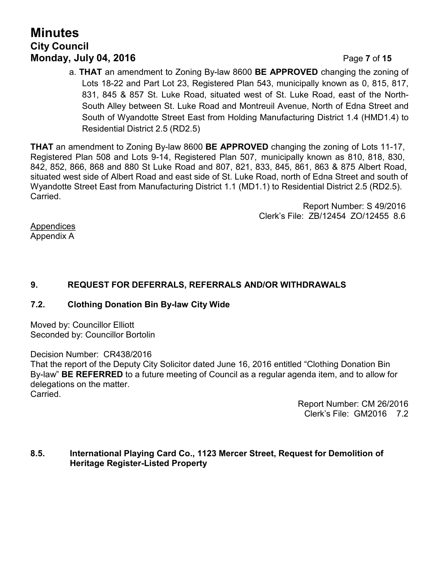# **Minutes City Council Monday, July 04, 2016 Page 7** of 15

a. **THAT** an amendment to Zoning By-law 8600 **BE APPROVED** changing the zoning of Lots 18-22 and Part Lot 23, Registered Plan 543, municipally known as 0, 815, 817, 831, 845 & 857 St. Luke Road, situated west of St. Luke Road, east of the North-South Alley between St. Luke Road and Montreuil Avenue, North of Edna Street and South of Wyandotte Street East from Holding Manufacturing District 1.4 (HMD1.4) to Residential District 2.5 (RD2.5)

**THAT** an amendment to Zoning By-law 8600 **BE APPROVED** changing the zoning of Lots 11-17, Registered Plan 508 and Lots 9-14, Registered Plan 507, municipally known as 810, 818, 830, 842, 852, 866, 868 and 880 St Luke Road and 807, 821, 833, 845, 861, 863 & 875 Albert Road, situated west side of Albert Road and east side of St. Luke Road, north of Edna Street and south of Wyandotte Street East from Manufacturing District 1.1 (MD1.1) to Residential District 2.5 (RD2.5). Carried.

> Report Number: S 49/2016 Clerk's File: ZB/12454 ZO/12455 8.6

Appendices Appendix A

## **9. REQUEST FOR DEFERRALS, REFERRALS AND/OR WITHDRAWALS**

#### **7.2. Clothing Donation Bin By-law City Wide**

Moved by: Councillor Elliott Seconded by: Councillor Bortolin

Decision Number: CR438/2016

That the report of the Deputy City Solicitor dated June 16, 2016 entitled "Clothing Donation Bin By-law" **BE REFERRED** to a future meeting of Council as a regular agenda item, and to allow for delegations on the matter.

Carried.

Report Number: CM 26/2016 Clerk's File: GM2016 7.2

#### **8.5. International Playing Card Co., 1123 Mercer Street, Request for Demolition of Heritage Register-Listed Property**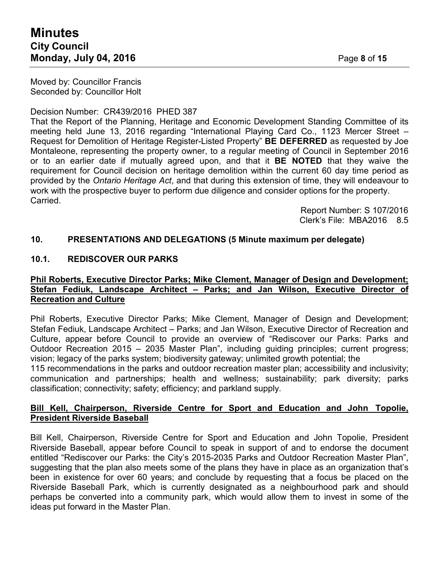Moved by: Councillor Francis Seconded by: Councillor Holt

#### Decision Number: CR439/2016 PHED 387

That the Report of the Planning, Heritage and Economic Development Standing Committee of its meeting held June 13, 2016 regarding "International Playing Card Co., 1123 Mercer Street – Request for Demolition of Heritage Register-Listed Property" **BE DEFERRED** as requested by Joe Montaleone, representing the property owner, to a regular meeting of Council in September 2016 or to an earlier date if mutually agreed upon, and that it **BE NOTED** that they waive the requirement for Council decision on heritage demolition within the current 60 day time period as provided by the *Ontario Heritage Act*, and that during this extension of time, they will endeavour to work with the prospective buyer to perform due diligence and consider options for the property. Carried.

> Report Number: S 107/2016 Clerk's File: MBA2016 8.5

#### **10. PRESENTATIONS AND DELEGATIONS (5 Minute maximum per delegate)**

#### **10.1. REDISCOVER OUR PARKS**

#### **Phil Roberts, Executive Director Parks; Mike Clement, Manager of Design and Development; Stefan Fediuk, Landscape Architect – Parks; and Jan Wilson, Executive Director of Recreation and Culture**

Phil Roberts, Executive Director Parks; Mike Clement, Manager of Design and Development; Stefan Fediuk, Landscape Architect – Parks; and Jan Wilson, Executive Director of Recreation and Culture, appear before Council to provide an overview of "Rediscover our Parks: Parks and Outdoor Recreation 2015 – 2035 Master Plan", including guiding principles; current progress; vision; legacy of the parks system; biodiversity gateway; unlimited growth potential; the

115 recommendations in the parks and outdoor recreation master plan; accessibility and inclusivity; communication and partnerships; health and wellness; sustainability; park diversity; parks classification; connectivity; safety; efficiency; and parkland supply.

#### **Bill Kell, Chairperson, Riverside Centre for Sport and Education and John Topolie, President Riverside Baseball**

Bill Kell, Chairperson, Riverside Centre for Sport and Education and John Topolie, President Riverside Baseball, appear before Council to speak in support of and to endorse the document entitled "Rediscover our Parks: the City's 2015-2035 Parks and Outdoor Recreation Master Plan", suggesting that the plan also meets some of the plans they have in place as an organization that's been in existence for over 60 years; and conclude by requesting that a focus be placed on the Riverside Baseball Park, which is currently designated as a neighbourhood park and should perhaps be converted into a community park, which would allow them to invest in some of the ideas put forward in the Master Plan.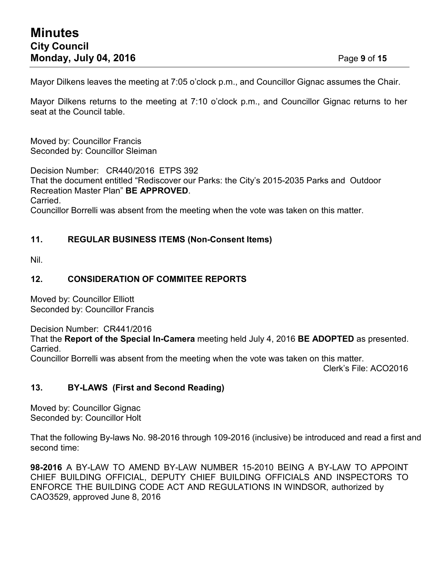Mayor Dilkens leaves the meeting at 7:05 o'clock p.m., and Councillor Gignac assumes the Chair.

Mayor Dilkens returns to the meeting at 7:10 o'clock p.m., and Councillor Gignac returns to her seat at the Council table.

Moved by: Councillor Francis Seconded by: Councillor Sleiman

Decision Number: CR440/2016 ETPS 392 That the document entitled "Rediscover our Parks: the City's 2015-2035 Parks and Outdoor Recreation Master Plan" **BE APPROVED**. Carried. Councillor Borrelli was absent from the meeting when the vote was taken on this matter.

#### **11. REGULAR BUSINESS ITEMS (Non-Consent Items)**

Nil.

#### **12. CONSIDERATION OF COMMITEE REPORTS**

Moved by: Councillor Elliott Seconded by: Councillor Francis

Decision Number: CR441/2016

That the **Report of the Special In-Camera** meeting held July 4, 2016 **BE ADOPTED** as presented. Carried.

Councillor Borrelli was absent from the meeting when the vote was taken on this matter.

Clerk's File: ACO2016

#### **13. BY-LAWS (First and Second Reading)**

Moved by: Councillor Gignac Seconded by: Councillor Holt

That the following By-laws No. 98-2016 through 109-2016 (inclusive) be introduced and read a first and second time:

**98-2016** A BY-LAW TO AMEND BY-LAW NUMBER 15-2010 BEING A BY-LAW TO APPOINT CHIEF BUILDING OFFICIAL, DEPUTY CHIEF BUILDING OFFICIALS AND INSPECTORS TO ENFORCE THE BUILDING CODE ACT AND REGULATIONS IN WINDSOR, authorized by CAO3529, approved June 8, 2016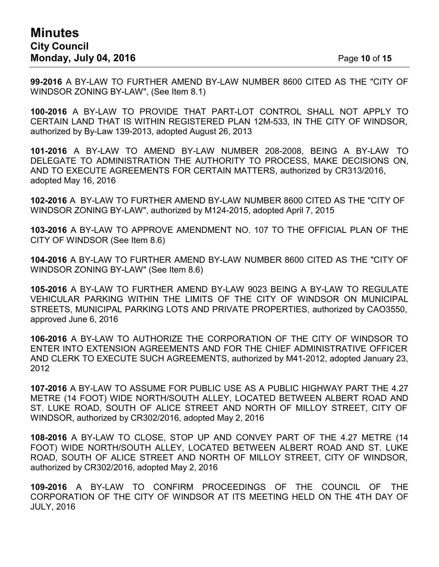**99-2016** A BY-LAW TO FURTHER AMEND BY-LAW NUMBER 8600 CITED AS THE "CITY OF WINDSOR ZONING BY-LAW", (See Item 8.1)

**100-2016** A BY-LAW TO PROVIDE THAT PART-LOT CONTROL SHALL NOT APPLY TO CERTAIN LAND THAT IS WITHIN REGISTERED PLAN 12M-533, IN THE CITY OF WINDSOR, authorized by By-Law 139-2013, adopted August 26, 2013

**101-2016** A BY-LAW TO AMEND BY-LAW NUMBER 208-2008, BEING A BY-LAW TO DELEGATE TO ADMINISTRATION THE AUTHORITY TO PROCESS, MAKE DECISIONS ON, AND TO EXECUTE AGREEMENTS FOR CERTAIN MATTERS, authorized by CR313/2016, adopted May 16, 2016

**102-2016** A BY-LAW TO FURTHER AMEND BY-LAW NUMBER 8600 CITED AS THE "CITY OF WINDSOR ZONING BY-LAW", authorized by M124-2015, adopted April 7, 2015

**103-2016** A BY-LAW TO APPROVE AMENDMENT NO. 107 TO THE OFFICIAL PLAN OF THE CITY OF WINDSOR (See Item 8.6)

**104-2016** A BY-LAW TO FURTHER AMEND BY-LAW NUMBER 8600 CITED AS THE "CITY OF WINDSOR ZONING BY-LAW" (See Item 8.6)

**105-2016** A BY-LAW TO FURTHER AMEND BY-LAW 9023 BEING A BY-LAW TO REGULATE VEHICULAR PARKING WITHIN THE LIMITS OF THE CITY OF WINDSOR ON MUNICIPAL STREETS, MUNICIPAL PARKING LOTS AND PRIVATE PROPERTIES, authorized by CAO3550, approved June 6, 2016

**106-2016** A BY-LAW TO AUTHORIZE THE CORPORATION OF THE CITY OF WINDSOR TO ENTER INTO EXTENSION AGREEMENTS AND FOR THE CHIEF ADMINISTRATIVE OFFICER AND CLERK TO EXECUTE SUCH AGREEMENTS, authorized by M41-2012, adopted January 23, 2012

**107-2016** A BY-LAW TO ASSUME FOR PUBLIC USE AS A PUBLIC HIGHWAY PART THE 4.27 METRE (14 FOOT) WIDE NORTH/SOUTH ALLEY, LOCATED BETWEEN ALBERT ROAD AND ST. LUKE ROAD, SOUTH OF ALICE STREET AND NORTH OF MILLOY STREET, CITY OF WINDSOR, authorized by CR302/2016, adopted May 2, 2016

**108-2016** A BY-LAW TO CLOSE, STOP UP AND CONVEY PART OF THE 4.27 METRE (14 FOOT) WIDE NORTH/SOUTH ALLEY, LOCATED BETWEEN ALBERT ROAD AND ST. LUKE ROAD, SOUTH OF ALICE STREET AND NORTH OF MILLOY STREET, CITY OF WINDSOR, authorized by CR302/2016, adopted May 2, 2016

**109-2016** A BY-LAW TO CONFIRM PROCEEDINGS OF THE COUNCIL OF THE CORPORATION OF THE CITY OF WINDSOR AT ITS MEETING HELD ON THE 4TH DAY OF JULY, 2016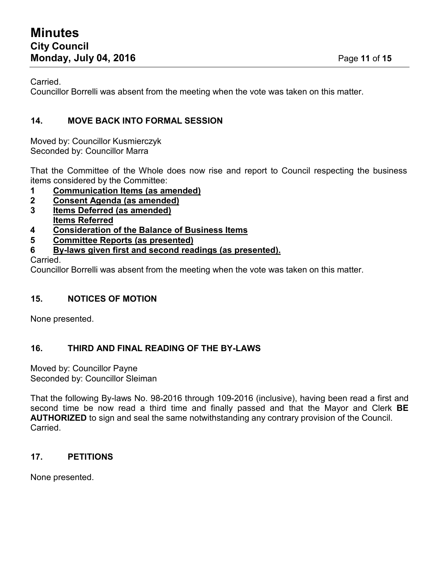Carried.

Councillor Borrelli was absent from the meeting when the vote was taken on this matter.

### **14. MOVE BACK INTO FORMAL SESSION**

Moved by: Councillor Kusmierczyk Seconded by: Councillor Marra

That the Committee of the Whole does now rise and report to Council respecting the business items considered by the Committee:

- **1 Communication Items (as amended)**
- **2 Consent Agenda (as amended)**
- **3 Items Deferred (as amended)**
- **Items Referred**
- **4 Consideration of the Balance of Business Items**
- **5 Committee Reports (as presented)**
- **6 By-laws given first and second readings (as presented).**

Carried.

Councillor Borrelli was absent from the meeting when the vote was taken on this matter.

### **15. NOTICES OF MOTION**

None presented.

### **16. THIRD AND FINAL READING OF THE BY-LAWS**

Moved by: Councillor Payne Seconded by: Councillor Sleiman

That the following By-laws No. 98-2016 through 109-2016 (inclusive), having been read a first and second time be now read a third time and finally passed and that the Mayor and Clerk **BE AUTHORIZED** to sign and seal the same notwithstanding any contrary provision of the Council. Carried.

### **17. PETITIONS**

None presented.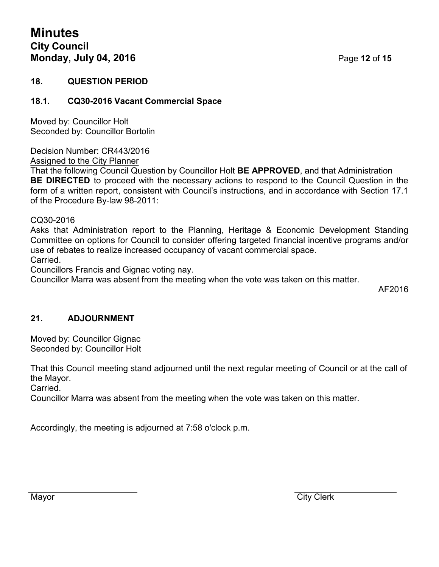#### **18. QUESTION PERIOD**

#### **18.1. CQ30-2016 Vacant Commercial Space**

Moved by: Councillor Holt Seconded by: Councillor Bortolin

Decision Number: CR443/2016 Assigned to the City Planner

That the following Council Question by Councillor Holt **BE APPROVED**, and that Administration **BE DIRECTED** to proceed with the necessary actions to respond to the Council Question in the form of a written report, consistent with Council's instructions, and in accordance with Section 17.1 of the Procedure By-law 98-2011:

CQ30-2016

Asks that Administration report to the Planning, Heritage & Economic Development Standing Committee on options for Council to consider offering targeted financial incentive programs and/or use of rebates to realize increased occupancy of vacant commercial space. Carried.

Councillors Francis and Gignac voting nay.

Councillor Marra was absent from the meeting when the vote was taken on this matter.

AF2016

#### **21. ADJOURNMENT**

Moved by: Councillor Gignac Seconded by: Councillor Holt

That this Council meeting stand adjourned until the next regular meeting of Council or at the call of the Mayor.

Carried.

Councillor Marra was absent from the meeting when the vote was taken on this matter.

Accordingly, the meeting is adjourned at 7:58 o'clock p.m.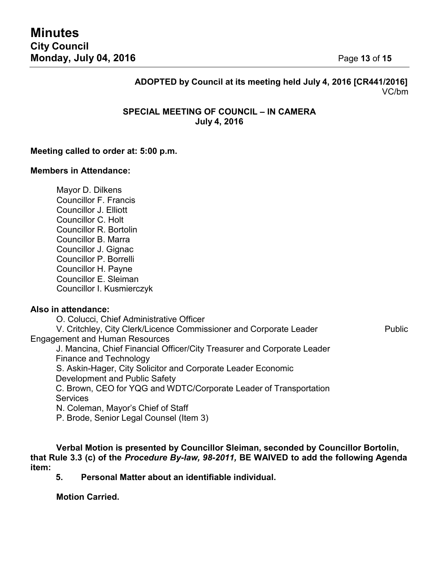#### **ADOPTED by Council at its meeting held July 4, 2016 [CR441/2016]** VC/bm

#### **SPECIAL MEETING OF COUNCIL – IN CAMERA July 4, 2016**

#### **Meeting called to order at: 5:00 p.m.**

#### **Members in Attendance:**

Mayor D. Dilkens Councillor F. Francis Councillor J. Elliott Councillor C. Holt Councillor R. Bortolin Councillor B. Marra Councillor J. Gignac Councillor P. Borrelli Councillor H. Payne Councillor E. Sleiman Councillor I. Kusmierczyk

#### **Also in attendance:**

O. Colucci, Chief Administrative Officer V. Critchley, City Clerk/Licence Commissioner and Corporate Leader Public Engagement and Human Resources J. Mancina, Chief Financial Officer/City Treasurer and Corporate Leader Finance and Technology S. Askin-Hager, City Solicitor and Corporate Leader Economic Development and Public Safety C. Brown, CEO for YQG and WDTC/Corporate Leader of Transportation **Services** N. Coleman, Mayor's Chief of Staff P. Brode, Senior Legal Counsel (Item 3)

**Verbal Motion is presented by Councillor Sleiman, seconded by Councillor Bortolin, that Rule 3.3 (c) of the** *Procedure By-law, 98-2011,* **BE WAIVED to add the following Agenda item:**

**5. Personal Matter about an identifiable individual.**

**Motion Carried.**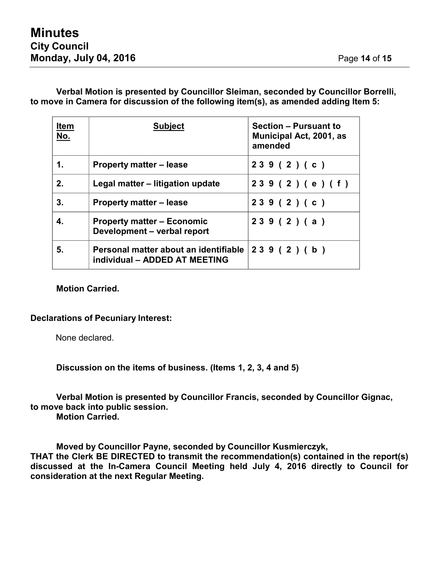#### **Verbal Motion is presented by Councillor Sleiman, seconded by Councillor Borrelli, to move in Camera for discussion of the following item(s), as amended adding Item 5:**

| <b>Item</b><br>No. | <b>Subject</b>                                                         | <b>Section - Pursuant to</b><br>Municipal Act, 2001, as<br>amended |
|--------------------|------------------------------------------------------------------------|--------------------------------------------------------------------|
| 1.                 | <b>Property matter – lease</b>                                         | 239(2)(c)                                                          |
| 2.                 | Legal matter - litigation update                                       | 239(2)(e)(f)                                                       |
| 3.                 | <b>Property matter – lease</b>                                         | 239(2)(c)                                                          |
| 4.                 | <b>Property matter – Economic</b><br>Development - verbal report       | 239(2)(a)                                                          |
| 5.                 | Personal matter about an identifiable<br>individual - ADDED AT MEETING | 239(2)(b)                                                          |

#### **Motion Carried.**

#### **Declarations of Pecuniary Interest:**

None declared.

**Discussion on the items of business. (Items 1, 2, 3, 4 and 5)**

**Verbal Motion is presented by Councillor Francis, seconded by Councillor Gignac, to move back into public session.**

**Motion Carried.**

**Moved by Councillor Payne, seconded by Councillor Kusmierczyk,**

**THAT the Clerk BE DIRECTED to transmit the recommendation(s) contained in the report(s) discussed at the In-Camera Council Meeting held July 4, 2016 directly to Council for consideration at the next Regular Meeting.**